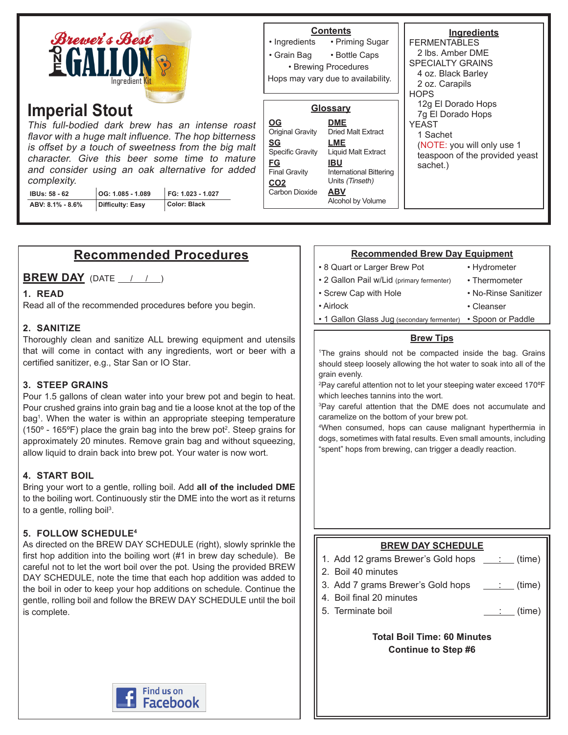| <b>Brewer's Best</b><br>$\frac{N}{E}$<br>Inaredient Kit                                                                                                                                                                                                                                                                                                                                                                                             |  |  | • Ingredients<br>• Grain Bag                                                                                                                    | <b>Contents</b><br>• Priming Sugar<br>• Bottle Caps<br>• Brewing Procedures<br>Hops may vary due to availability.                                                                       | Ingredients<br><b>FERMENTABLES</b><br>2 lbs. Amber DME<br><b>SPECIALTY GRAINS</b><br>4 oz. Black Barley<br>2 oz. Carapils<br><b>HOPS</b><br>12g El Dorado Hops<br>7g El Dorado Hops<br><b>YEAST</b><br>1 Sachet<br>(NOTE: you will only use 1<br>teaspoon of the provided yeast<br>sachet.) |
|-----------------------------------------------------------------------------------------------------------------------------------------------------------------------------------------------------------------------------------------------------------------------------------------------------------------------------------------------------------------------------------------------------------------------------------------------------|--|--|-------------------------------------------------------------------------------------------------------------------------------------------------|-----------------------------------------------------------------------------------------------------------------------------------------------------------------------------------------|---------------------------------------------------------------------------------------------------------------------------------------------------------------------------------------------------------------------------------------------------------------------------------------------|
| <b>Imperial Stout</b><br>This full-bodied dark brew has an intense roast<br>flavor with a huge malt influence. The hop bitterness<br>is offset by a touch of sweetness from the big malt<br>character. Give this beer some time to mature<br>and consider using an oak alternative for added<br>complexity.<br>FG: 1.023 - 1.027<br>OG: 1.085 - 1.089<br><b>IBUs: 58 - 62</b><br><b>Color: Black</b><br><b>Difficulty: Easy</b><br>ABV: 8.1% - 8.6% |  |  | $\underline{OG}$<br>Original Gravity<br><u>SG</u><br>Specific Gravity<br><b>FG</b><br><b>Final Gravity</b><br>CO <sub>2</sub><br>Carbon Dioxide | Glossary<br><b>DME</b><br><b>Dried Malt Extract</b><br>LME<br>Liquid Malt Extract<br><b>IBU</b><br><b>International Bittering</b><br>Units (Tinseth)<br><b>ABV</b><br>Alcohol by Volume |                                                                                                                                                                                                                                                                                             |

# **Recommended Procedures**

**BREW DAY** (DATE  $\left( \begin{array}{ccc} 1 & 1 \end{array} \right)$ 

#### **1. READ**

Read all of the recommended procedures before you begin.

#### **2. SANITIZE**

Thoroughly clean and sanitize ALL brewing equipment and utensils that will come in contact with any ingredients, wort or beer with a certified sanitizer, e.g., Star San or IO Star.

#### **3. STEEP GRAINS**

Pour 1.5 gallons of clean water into your brew pot and begin to heat. Pour crushed grains into grain bag and tie a loose knot at the top of the bag<sup>1</sup> . When the water is within an appropriate steeping temperature (150 $\textdegree$  - 165 $\textdegree$ F) place the grain bag into the brew pot<sup>2</sup>. Steep grains for approximately 20 minutes. Remove grain bag and without squeezing, allow liquid to drain back into brew pot. Your water is now wort.

#### **4. START BOIL**

Bring your wort to a gentle, rolling boil. Add **all of the included DME** to the boiling wort. Continuously stir the DME into the wort as it returns to a gentle, rolling boil<sup>3</sup>.

#### **5. FOLLOW SCHEDULE4**

As directed on the BREW DAY SCHEDULE (right), slowly sprinkle the first hop addition into the boiling wort (#1 in brew day schedule). Be careful not to let the wort boil over the pot. Using the provided BREW DAY SCHEDULE, note the time that each hop addition was added to the boil in oder to keep your hop additions on schedule. Continue the gentle, rolling boil and follow the BREW DAY SCHEDULE until the boil is complete.

#### **Recommended Brew Day Equipment**

• 8 Quart or Larger Brew Pot

• Screw Cap with Hole

• Hydrometer

• Cleanser

- 2 Gallon Pail w/Lid (primary fermenter)
- Thermometer • No-Rinse Sanitizer

- Airlock
	- 1 Gallon Glass Jug (secondary fermenter) Spoon or Paddle

#### **Brew Tips**

1 The grains should not be compacted inside the bag. Grains should steep loosely allowing the hot water to soak into all of the grain evenly.

2 Pay careful attention not to let your steeping water exceed 170ºF which leeches tannins into the wort.

3 Pay careful attention that the DME does not accumulate and caramelize on the bottom of your brew pot.

4 When consumed, hops can cause malignant hyperthermia in dogs, sometimes with fatal results. Even small amounts, including "spent" hops from brewing, can trigger a deadly reaction.

### **BREW DAY SCHEDULE**

- 1. Add 12 grams Brewer's Gold hops  $\quad \underline{\quad : \quad }$  (time)
- 2. Boil 40 minutes
- 3. Add 7 grams Brewer's Gold hops  $\quad \underline{\hspace{1cm}}$  (time)
- 4. Boil final 20 minutes
- 5. Terminate boil : (time)

**Total Boil Time: 60 Minutes Continue to Step #6**